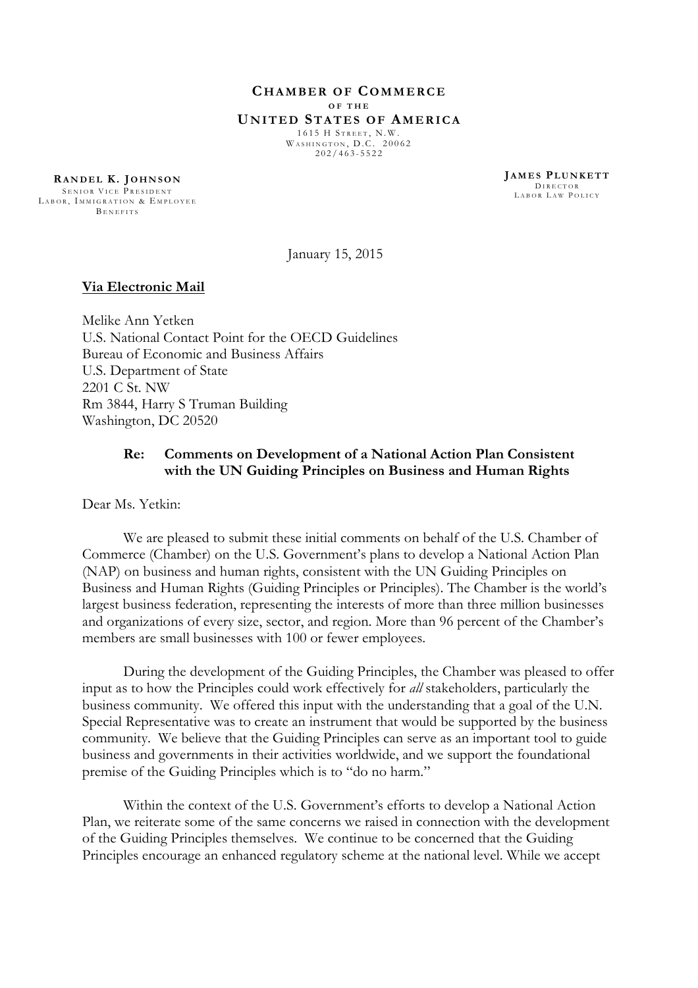**C H A M B E R O F CO M M E R C E O F T H E U N I T E D ST A T E S O F AM E R I C A** 1615 H STREET, N.W. WASHINGTON, D.C. 20062

 $202 / 463 - 5522$ 

**RA N D E L K . J O H N S O N** SENIOR VICE PRESIDENT LABOR, IMMIGRATION & EMPLOYEE BENEFITS

**J A M E S PL U N K E T T** D I R E CTOR LABOR LAW POLICY

January 15, 2015

## **Via Electronic Mail**

Melike Ann Yetken U.S. National Contact Point for the OECD Guidelines Bureau of Economic and Business Affairs U.S. Department of State 2201 C St. NW Rm 3844, Harry S Truman Building Washington, DC 20520

## **Re: Comments on Development of a National Action Plan Consistent with the UN Guiding Principles on Business and Human Rights**

Dear Ms. Yetkin:

We are pleased to submit these initial comments on behalf of the U.S. Chamber of Commerce (Chamber) on the U.S. Government's plans to develop a National Action Plan (NAP) on business and human rights, consistent with the UN Guiding Principles on Business and Human Rights (Guiding Principles or Principles). The Chamber is the world's largest business federation, representing the interests of more than three million businesses and organizations of every size, sector, and region. More than 96 percent of the Chamber's members are small businesses with 100 or fewer employees.

During the development of the Guiding Principles, the Chamber was pleased to offer input as to how the Principles could work effectively for *all* stakeholders, particularly the business community. We offered this input with the understanding that a goal of the U.N. Special Representative was to create an instrument that would be supported by the business community. We believe that the Guiding Principles can serve as an important tool to guide business and governments in their activities worldwide, and we support the foundational premise of the Guiding Principles which is to "do no harm."

Within the context of the U.S. Government's efforts to develop a National Action Plan, we reiterate some of the same concerns we raised in connection with the development of the Guiding Principles themselves. We continue to be concerned that the Guiding Principles encourage an enhanced regulatory scheme at the national level. While we accept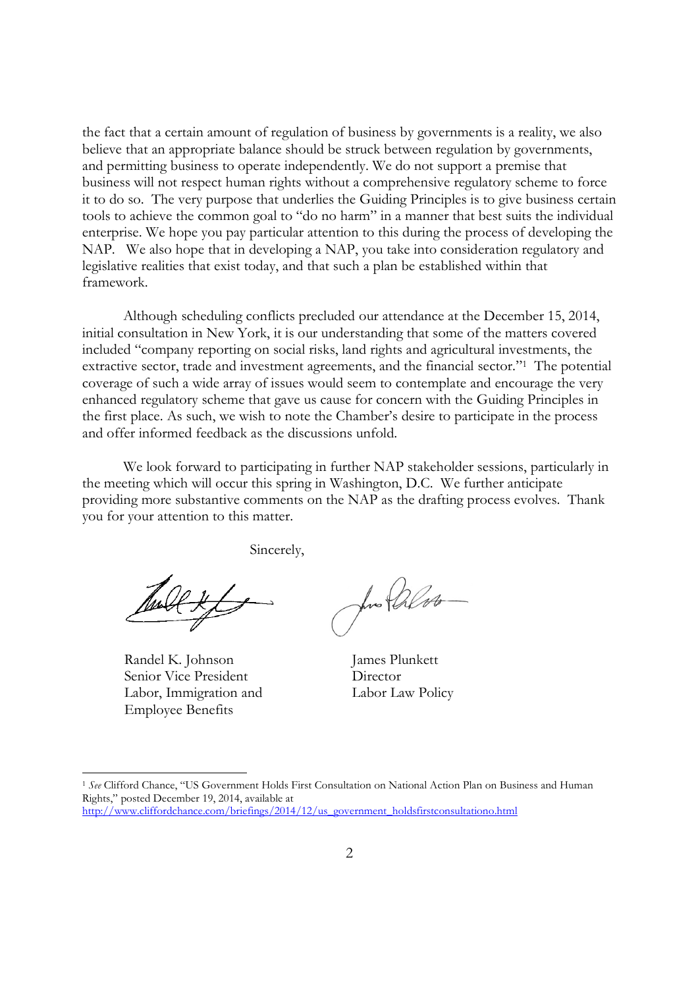the fact that a certain amount of regulation of business by governments is a reality, we also believe that an appropriate balance should be struck between regulation by governments, and permitting business to operate independently. We do not support a premise that business will not respect human rights without a comprehensive regulatory scheme to force it to do so. The very purpose that underlies the Guiding Principles is to give business certain tools to achieve the common goal to "do no harm" in a manner that best suits the individual enterprise. We hope you pay particular attention to this during the process of developing the NAP. We also hope that in developing a NAP, you take into consideration regulatory and legislative realities that exist today, and that such a plan be established within that framework.

Although scheduling conflicts precluded our attendance at the December 15, 2014, initial consultation in New York, it is our understanding that some of the matters covered included "company reporting on social risks, land rights and agricultural investments, the extractive sector, trade and investment agreements, and the financial sector."<sup>1</sup> The potential coverage of such a wide array of issues would seem to contemplate and encourage the very enhanced regulatory scheme that gave us cause for concern with the Guiding Principles in the first place. As such, we wish to note the Chamber's desire to participate in the process and offer informed feedback as the discussions unfold.

We look forward to participating in further NAP stakeholder sessions, particularly in the meeting which will occur this spring in Washington, D.C. We further anticipate providing more substantive comments on the NAP as the drafting process evolves. Thank you for your attention to this matter.

Sincerely,

Randel K. Johnson Senior Vice President Labor, Immigration and Employee Benefits

for Palos

James Plunkett **Director** Labor Law Policy

<sup>1</sup> *See* Clifford Chance, "US Government Holds First Consultation on National Action Plan on Business and Human Rights," posted December 19, 2014, available at

http://www.cliffordchance.com/briefings/2014/12/us\_government\_holdsfirstconsultationo.html